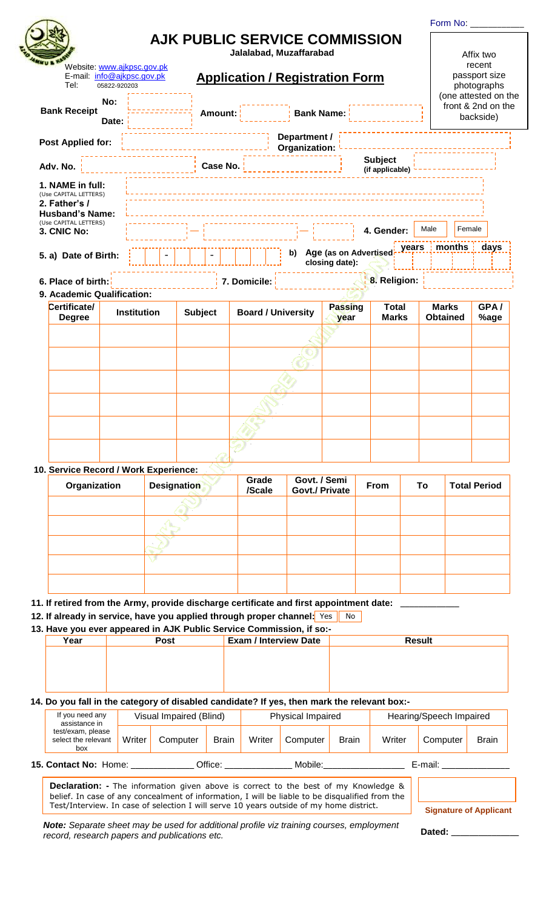|                                                                                  |                    |                                      |                                        |                               |                                         |                                   | Form No:                        |                                                                |
|----------------------------------------------------------------------------------|--------------------|--------------------------------------|----------------------------------------|-------------------------------|-----------------------------------------|-----------------------------------|---------------------------------|----------------------------------------------------------------|
|                                                                                  |                    | <b>AJK PUBLIC SERVICE COMMISSION</b> | Jalalabad, Muzaffarabad                |                               |                                         |                                   |                                 | Affix two                                                      |
| Website: www.ajkpsc.gov.pk<br>E-mail: info@ajkpsc.gov.pk<br>Tel:<br>05822-920203 |                    |                                      | <b>Application / Registration Form</b> |                               |                                         |                                   |                                 | recent<br>passport size<br>photographs<br>(one attested on the |
| No:<br><b>Bank Receipt</b><br>Date:                                              |                    | Amount:                              |                                        | <b>Bank Name:</b>             |                                         |                                   |                                 | front & 2nd on the<br>backside)                                |
| Post Applied for:                                                                |                    |                                      |                                        | Department /<br>Organization: |                                         |                                   |                                 |                                                                |
| Adv. No.                                                                         |                    | Case No.                             |                                        |                               |                                         | <b>Subject</b><br>(if applicable) |                                 |                                                                |
| 1. NAME in full:<br>(Use CAPITAL LETTERS)<br>2. Father's /                       |                    |                                      |                                        |                               |                                         |                                   |                                 |                                                                |
| <b>Husband's Name:</b><br>(Use CAPITAL LETTERS)<br>3. CNIC No:                   |                    |                                      |                                        |                               |                                         | 4. Gender:                        | Male                            | Female                                                         |
| 5. a) Date of Birth:                                                             |                    |                                      |                                        | b)                            | Age (as on Advertised<br>closing date): | years                             | months                          | days                                                           |
| 6. Place of birth:<br>9. Academic Qualification:                                 |                    |                                      | 7. Domicile:                           |                               |                                         | 8. Religion:                      |                                 |                                                                |
| Certificate/<br><b>Degree</b>                                                    | <b>Institution</b> | <b>Subject</b>                       | <b>Board / University</b>              |                               | <b>Passing</b><br>year                  | <b>Total</b><br><b>Marks</b>      | <b>Marks</b><br><b>Obtained</b> | GPA/<br>%age                                                   |
|                                                                                  |                    |                                      |                                        |                               |                                         |                                   |                                 |                                                                |
|                                                                                  |                    |                                      |                                        |                               |                                         |                                   |                                 |                                                                |
|                                                                                  |                    |                                      |                                        |                               |                                         |                                   |                                 |                                                                |
|                                                                                  |                    |                                      |                                        |                               |                                         |                                   |                                 |                                                                |
|                                                                                  |                    |                                      |                                        |                               |                                         |                                   |                                 |                                                                |
|                                                                                  |                    |                                      |                                        |                               |                                         |                                   |                                 |                                                                |
|                                                                                  |                    |                                      |                                        |                               |                                         |                                   |                                 |                                                                |

| Organization | <b>Designation</b> | Grade<br>/Scale | Govt. / Semi<br><b>Govt./ Private</b> | From | To | <b>Total Period</b> |
|--------------|--------------------|-----------------|---------------------------------------|------|----|---------------------|
|              |                    |                 |                                       |      |    |                     |
|              |                    |                 |                                       |      |    |                     |
|              |                    |                 |                                       |      |    |                     |
|              |                    |                 |                                       |      |    |                     |
|              |                    |                 |                                       |      |    |                     |

**11. If retired from the Army, provide discharge certificate and first appointment date: \_\_\_\_\_\_\_\_\_\_\_\_\_** 

**12. If already in service, have you applied through proper channel:** Yes No

**13. Have you ever appeared in AJK Public Service Commission, if so:-**

| Year | Post | <b>Exam / Interview Date</b> | <b>Result</b> |
|------|------|------------------------------|---------------|
|      |      |                              |               |
|      |      |                              |               |
|      |      |                              |               |
|      |      |                              |               |

**14. Do you fall in the category of disabled candidate? If yes, then mark the relevant box:-**

| If you need any<br>assistance in                |        |          | Visual Impaired (Blind) |        |          | <b>Physical Impaired</b> |        |          | Hearing/Speech Impaired |  |  |
|-------------------------------------------------|--------|----------|-------------------------|--------|----------|--------------------------|--------|----------|-------------------------|--|--|
| test/exam, please<br>select the relevant<br>box | Writer | Computer | <b>Brain</b>            | Writer | Computer | <b>Brain</b>             | Writer | Computer | <b>Brain</b>            |  |  |
| 15. Contact No: Home:                           |        |          | Office:                 |        | Mobile:  |                          |        | E-mail:  |                         |  |  |

**Declaration: -** The information given above is correct to the best of my Knowledge & belief. In case of any concealment of information, I will be liable to be disqualified from the Test/Interview. In case of selection I will serve 10 years outside of my home district. **Signature of Applicant**

*Note: Separate sheet may be used for additional profile viz training courses, employment record, research papers and publications etc.* **Dated: Dated: Dated: Dated: Dated: Dated: Dated: Dated: Dated: Dated: Dated: Dated: Dated: Dated: Dated: Dated: Dated: Dated: Dated: Da**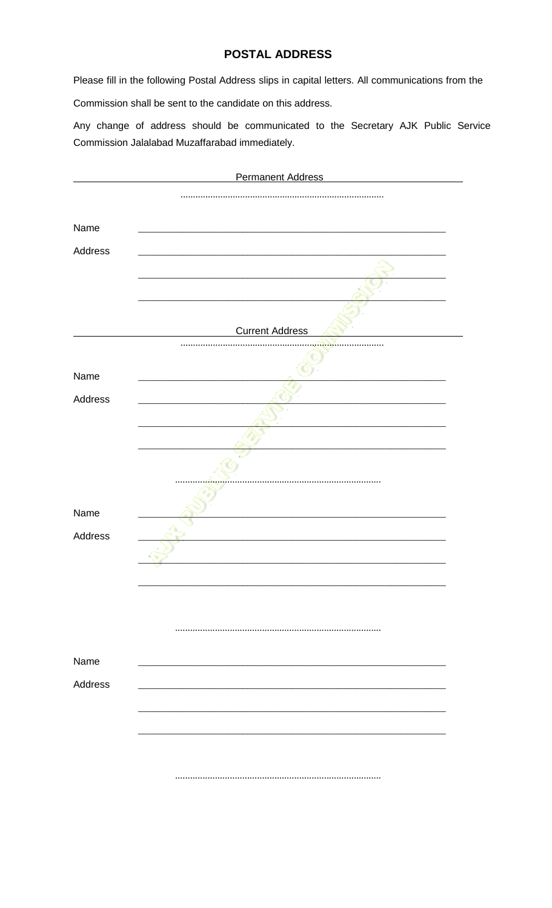### **POSTAL ADDRESS**

Please fill in the following Postal Address slips in capital letters. All communications from the

Commission shall be sent to the candidate on this address.

Any change of address should be communicated to the Secretary AJK Public Service Commission Jalalabad Muzaffarabad immediately.

|         | <b>Permanent Address</b> |
|---------|--------------------------|
|         |                          |
|         |                          |
| Name    |                          |
| Address |                          |
|         |                          |
|         |                          |
|         |                          |
|         | <b>Current Address</b>   |
|         |                          |
| Name    |                          |
| Address |                          |
|         |                          |
|         |                          |
|         |                          |
|         |                          |
|         |                          |
| Name    |                          |
| Address |                          |
|         |                          |
|         |                          |
|         |                          |
|         |                          |
| Name    |                          |
| Address |                          |
|         |                          |
|         |                          |
|         |                          |
|         |                          |
|         |                          |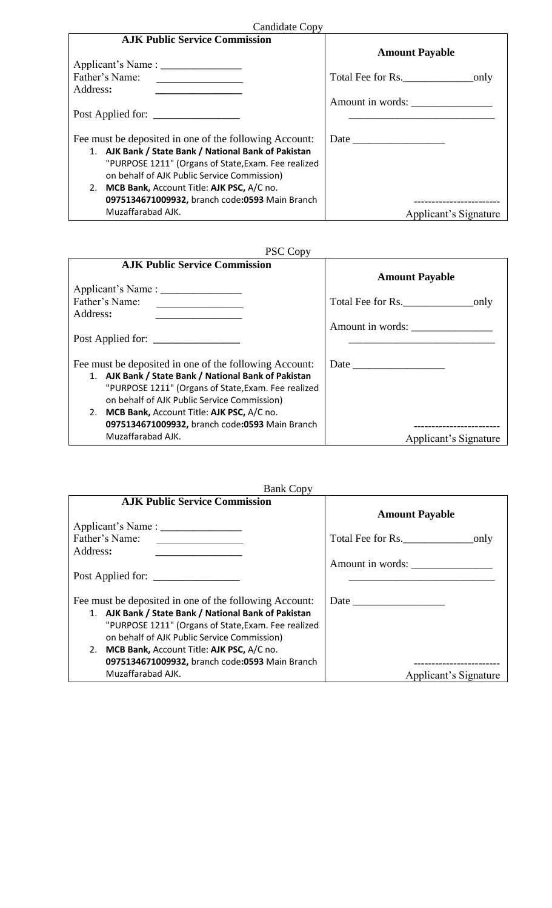| Candidate Copy                                                                                                                           |                       |  |  |
|------------------------------------------------------------------------------------------------------------------------------------------|-----------------------|--|--|
| <b>AJK Public Service Commission</b>                                                                                                     |                       |  |  |
|                                                                                                                                          | <b>Amount Payable</b> |  |  |
|                                                                                                                                          |                       |  |  |
| Father's Name:<br><u> 1980 - Andrea Albert III, politik a postal de la provincia de la provincia de la provincia de la provincia de </u> |                       |  |  |
| Address:                                                                                                                                 |                       |  |  |
|                                                                                                                                          | Amount in words:      |  |  |
|                                                                                                                                          |                       |  |  |
|                                                                                                                                          |                       |  |  |
| Fee must be deposited in one of the following Account:                                                                                   |                       |  |  |
| 1. AJK Bank / State Bank / National Bank of Pakistan                                                                                     |                       |  |  |
| "PURPOSE 1211" (Organs of State, Exam. Fee realized                                                                                      |                       |  |  |
| on behalf of AJK Public Service Commission)                                                                                              |                       |  |  |
| 2. MCB Bank, Account Title: AJK PSC, A/C no.                                                                                             |                       |  |  |
| 0975134671009932, branch code:0593 Main Branch                                                                                           |                       |  |  |
| Muzaffarabad AJK.                                                                                                                        | Applicant's Signature |  |  |

# PSC Copy

| <b>AJK Public Service Commission</b>                                                                                                  |                        |
|---------------------------------------------------------------------------------------------------------------------------------------|------------------------|
|                                                                                                                                       | <b>Amount Payable</b>  |
|                                                                                                                                       |                        |
| Father's Name:<br><u> 1980 - Andrea Albert III, politik eta politik eta politik eta politik eta politik eta politik eta politik e</u> | Total Fee for Rs. only |
| Address:                                                                                                                              |                        |
|                                                                                                                                       | Amount in words:       |
| Post Applied for:                                                                                                                     |                        |
|                                                                                                                                       |                        |
| Fee must be deposited in one of the following Account:                                                                                |                        |
| 1. AJK Bank / State Bank / National Bank of Pakistan                                                                                  |                        |
| "PURPOSE 1211" (Organs of State, Exam. Fee realized                                                                                   |                        |
| on behalf of AJK Public Service Commission)                                                                                           |                        |
| 2. MCB Bank, Account Title: AJK PSC, A/C no.                                                                                          |                        |
| 0975134671009932, branch code:0593 Main Branch                                                                                        |                        |
| Muzaffarabad AJK.                                                                                                                     | Applicant's Signature  |

| <b>Bank Copy</b>                                                                    |                                   |
|-------------------------------------------------------------------------------------|-----------------------------------|
| <b>AJK Public Service Commission</b>                                                |                                   |
|                                                                                     | <b>Amount Payable</b>             |
|                                                                                     |                                   |
| Father's Name:<br><u> 1980 - Andrea Station Books, amerikansk politik (d. 1980)</u> | Total Fee for Rs.                 |
| Address:<br><u> 1989 - Johann John Stone, market fransk politiker (</u>             |                                   |
|                                                                                     | Amount in words: ________________ |
| Post Applied for:                                                                   |                                   |
|                                                                                     |                                   |
| Fee must be deposited in one of the following Account:                              |                                   |
| 1. AJK Bank / State Bank / National Bank of Pakistan                                |                                   |
| "PURPOSE 1211" (Organs of State, Exam. Fee realized                                 |                                   |
| on behalf of AJK Public Service Commission)                                         |                                   |
| 2. MCB Bank, Account Title: AJK PSC, A/C no.                                        |                                   |
| 0975134671009932, branch code:0593 Main Branch                                      |                                   |
| Muzaffarabad AJK.                                                                   | Applicant's Signature             |